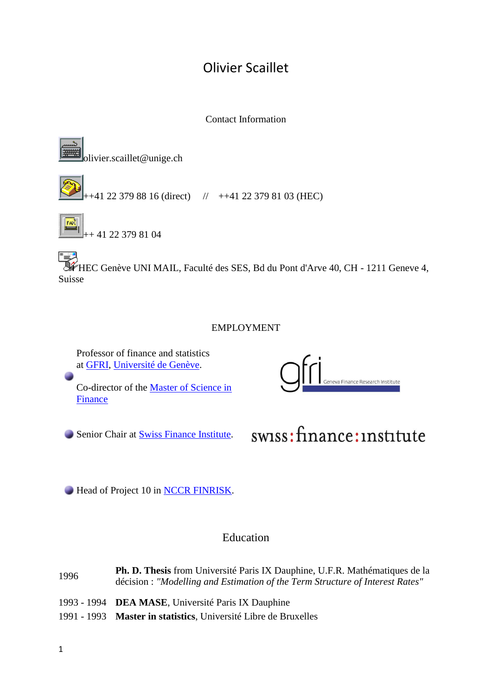# Olivier Scaillet

Contact Information



olivier.scaillet@unige.ch

 $+41$  22 379 88 16 (direct)  $\frac{1}{2}$  ++41 22 379 81 03 (HEC)



 $+$  41 22 379 81 04

HEC Genève UNI MAIL, Faculté des SES, Bd du Pont d'Arve 40, CH - 1211 Geneve 4, Suisse

### EMPLOYMENT

Professor of finance and statistics at [GFRI,](http://www.gfri.ch/) [Université de Genève.](http://www.unige.ch/)

Co-director of the [Master of Science in](http://www.hec.unige.ch/www/?pid=255)  [Finance](http://www.hec.unige.ch/www/?pid=255)



Senior Chair at **Swiss Finance Institute**.



Head of Project 10 in [NCCR FINRISK.](http://www.nccr-finrisk.unizh.ch/)

# Education

<sup>1996</sup> **Ph. D. Thesis** from Université Paris IX Dauphine, U.F.R. Mathématiques de la décision : *"Modelling and Estimation of the Term Structure of Interest Rates"* 1993 - 1994 **DEA MASE**, Université Paris IX Dauphine

1991 - 1993 **Master in statistics**, Université Libre de Bruxelles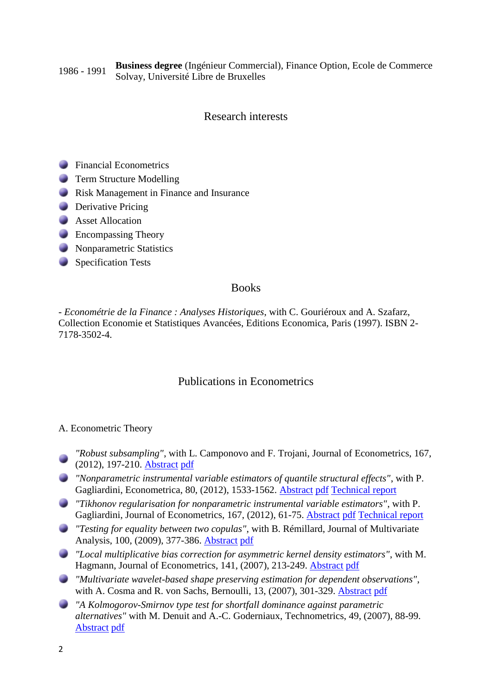#### 1986 - <sup>1991</sup> **Business degree** (Ingénieur Commercial), Finance Option, Ecole de Commerce Solvay, Université Libre de Bruxelles

### Research interests

- **Financial Econometrics**
- **Term Structure Modelling**
- **Risk Management in Finance and Insurance**
- **Derivative Pricing**
- **Asset Allocation**
- **Encompassing Theory**
- **Nonparametric Statistics**
- Specification Tests

#### Books

- *Econométrie de la Finance : Analyses Historiques*, with C. Gouriéroux and A. Szafarz, Collection Economie et Statistiques Avancées, Editions Economica, Paris (1997). ISBN 2- 7178-3502-4.

### Publications in Econometrics

#### A. Econometric Theory

- *"Robust subsampling"*, with L. Camponovo and F. Trojani, Journal of Econometrics, 167, (2012), 197-210. [Abstract](http://www.hec.unige.ch:8080/scaillet/abstracts/AbRobustSub.htm) [pdf](http://www.hec.unige.ch:8080/scaillet/pdfs/RobustSub.pdf)
- *"Nonparametric instrumental variable estimators of quantile structural effects"*, with P. Gagliardini, Econometrica, 80, (2012), 1533-1562. [Abstract](http://www.hec.unige.ch:8080/scaillet/abstracts/AbQ-TiR.htm) [pdf](http://www.hec.unige.ch:8080/scaillet/pdfs/Q-TiR.pdf) [Technical report](http://www.hec.unige.ch:8080/scaillet/pdfs/TR-QTiR.pdf)
- *"Tikhonov regularisation for nonparametric instrumental variable estimators"*, with P. Gagliardini, Journal of Econometrics, 167, (2012), 61-75. [Abstract](http://www.hec.unige.ch:8080/scaillet/abstracts/Abmdtr.htm) [pdf](http://www.hec.unige.ch:8080/scaillet/pdfs/mdtr.pdf) [Technical report](http://www.hec.unige.ch:8080/scaillet/pdfs/tech_rep.pdf)
- *"Testing for equality between two copulas"*, with B. Rémillard, Journal of Multivariate Analysis, 100, (2009), 377-386. [Abstract](http://www.hec.unige.ch:8080/scaillet/abstracts/Ab2copulas.htm) [pdf](http://www.hec.unige.ch:8080/scaillet/pdfs/2copulas.pdf)
- *"Local multiplicative bias correction for asymmetric kernel density estimators"*, with M. Hagmann, Journal of Econometrics, 141, (2007), 213-249. [Abstract](http://www.hec.unige.ch:8080/scaillet/abstracts/AbHS_2003.htm) [pdf](http://www.hec.unige.ch:8080/scaillet/pdfs/HS.pdf)
- *"Multivariate wavelet-based shape preserving estimation for dependent observations"*, with A. Cosma and R. von Sachs, Bernoulli, 13, (2007), 301-329. [Abstract](http://www.hec.unige.ch:8080/scaillet/abstracts/Abwav.htm) [pdf](http://www.hec.unige.ch:8080/scaillet/pdfs/wav.pdf)
- *"A Kolmogorov-Smirnov type test for shortfall dominance against parametric alternatives"* with M. Denuit and A.-C. Goderniaux, Technometrics, 49, (2007), 88-99. [Abstract](http://www.hec.unige.ch:8080/scaillet/abstracts/AbDGS.htm) [pdf](http://www.hec.unige.ch:8080/scaillet/pdfs/DGS.pdf)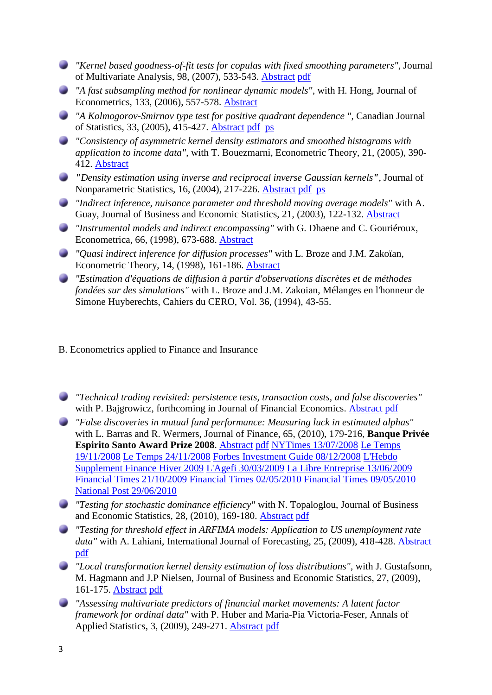- *"Kernel based goodness-of-fit tests for copulas with fixed smoothing parameters"*, Journal of Multivariate Analysis, 98, (2007), 533-543. [Abstract](http://www.hec.unige.ch:8080/scaillet/abstracts/Abgof_fixed_band.htm) [pdf](http://www.hec.unige.ch:8080/scaillet/pdfs/gof_fixed_band.pdf)
- *"A fast subsampling method for nonlinear dynamic models"*, with H. Hong, Journal of Econometrics, 133, (2006), 557-578. [Abstract](http://www.hec.unige.ch:8080/scaillet/abstracts/Absub.htm)
- *"A Kolmogorov-Smirnov type test for positive quadrant dependence "*, Canadian Journal of Statistics, 33, (2005), 415-427. [Abstract](http://www.hec.unige.ch:8080/scaillet/abstracts/AbKS_PQD.htm) [pdf](http://www.hec.unige.ch:8080/scaillet/pdfs/KS_PQD.pdf) [ps](http://www.hec.unige.ch:8080/scaillet/ps/KS_PQD.ps)
- *"Consistency of asymmetric kernel density estimators and smoothed histograms with application to income data"*, with T. Bouezmarni, Econometric Theory, 21, (2005), 390- 412. [Abstract](http://www.hec.unige.ch:8080/scaillet/abstracts/AbL1_BS.htm)
- *"Density estimation using inverse and reciprocal inverse Gaussian kernels"*, Journal of Nonparametric Statistics, 16, (2004), 217-226. [Abstract](http://www.hec.unige.ch:8080/scaillet/abstracts/abrigker.htm) [pdf](http://www.hec.unige.ch:8080/scaillet/pdfs/rigkerrev.pdf) [ps](http://www.hec.unige.ch:8080/scaillet/ps/rigkerrev.ps)
- *"Indirect inference, nuisance parameter and threshold moving average models"* with A. Guay, Journal of Business and Economic Statistics, 21, (2003), 122-132. [Abstract](http://www.hec.unige.ch:8080/scaillet/abstracts/AbJBES.htm)
- *"Instrumental models and indirect encompassing"* with G. Dhaene and C. Gouriéroux, Econometrica, 66, (1998), 673-688. [Abstract](http://www.hec.unige.ch:8080/scaillet/abstracts/Abeta.htm)
- *"Quasi indirect inference for diffusion processes"* with L. Broze and J.M. Zakoïan, Econometric Theory, 14, (1998), 161-186. [Abstract](http://www.hec.unige.ch:8080/scaillet/abstracts/Abet.htm)
- *"Estimation d'équations de diffusion à partir d'observations discrètes et de méthodes fondées sur des simulations"* with L. Broze and J.M. Zakoian, Mélanges en l'honneur de Simone Huyberechts, Cahiers du CERO, Vol. 36, (1994), 43-55.

#### B. Econometrics applied to Finance and Insurance

- *"Technical trading revisited: persistence tests, transaction costs, and false discoveries"* with P. Bajgrowicz, forthcoming in Journal of Financial Economics. [Abstract](http://www.hec.unige.ch:8080/scaillet/abstracts/Ab_BajSca.htm) [pdf](http://www.hec.unige.ch:8080/scaillet/pdfs/BajSca.pdf)
- *"False discoveries in mutual fund performance: Measuring luck in estimated alphas"* with L. Barras and R. Wermers, Journal of Finance, 65, (2010), 179-216, **Banque Privée Espirito Santo Award Prize 2008**. [Abstract](http://www.hec.unige.ch:8080/scaillet/abstracts/Ab_FDR.htm) [pdf](http://www.hec.unige.ch:8080/scaillet/pdfs/FDR.pdf) [NYTimes 13/07/2008](http://www.hec.unige.ch:8080/scaillet/pdfs/NYTimes_Article_July13_2008.pdf) [Le Temps](http://www.hec.unige.ch:8080/scaillet/pdfs/letemps_19-11-08.pdf)  [19/11/2008](http://www.hec.unige.ch:8080/scaillet/pdfs/letemps_19-11-08.pdf) [Le Temps 24/11/2008](http://www.hec.unige.ch:8080/scaillet/pdfs/letemps_24-11-08.pdf) [Forbes Investment Guide 08/12/2008](http://www.hec.unige.ch:8080/scaillet/pdfs/forbes_article_08-12-08.pdf) [L'Hebdo](http://www.hec.unige.ch:8080/scaillet/pdfs/supplementfinance_LHebdo_2009.pdf)  [Supplement Finance Hiver 2009](http://www.hec.unige.ch:8080/scaillet/pdfs/supplementfinance_LHebdo_2009.pdf) [L'Agefi 30/03/2009](http://www.hec.unige.ch:8080/scaillet/pdfs/lagefi_30-03-09.pdf) [La Libre Entreprise 13/06/2009](http://www.hec.unige.ch:8080/scaillet/pdfs/lalibreentreprise_13-06-09.pdf) [Financial Times 21/10/2009](http://www.hec.unige.ch:8080/scaillet/pdfs/FT_21-10-09.pdf) [Financial Times 02/05/2010](http://www.hec.unige.ch:8080/scaillet/pdfs/FT_02-05-10.pdf) [Financial Times 09/05/2010](http://www.hec.unige.ch:8080/scaillet/pdfs/FT_09-05-10.pdf) [National Post 29/06/2010](http://www.hec.unige.ch:8080/scaillet/pdfs/NP_29-06-10.pdf)
- *"Testing for stochastic dominance efficiency"* with N. Topaloglou, Journal of Business and Economic Statistics, 28, (2010), 169-180. [Abstract](http://www.hec.unige.ch:8080/scaillet/abstracts/Ab_SDE.htm) [pdf](http://www.hec.unige.ch:8080/scaillet/pdfs/SDE.pdf)
- *"Testing for threshold effect in ARFIMA models: Application to US unemployment rate*  data" with A. Lahiani, International Journal of Forecasting, 25, (2009), 418-428. [Abstract](http://www.hec.unige.ch:8080/scaillet/abstracts/Ab_GNP.htm) [pdf](http://www.hec.unige.ch:8080/scaillet/pdfs/GNP.pdf)
- *"Local transformation kernel density estimation of loss distributions"*, with J. Gustafsonn, M. Hagmann and J.P Nielsen, Journal of Business and Economic Statistics, 27, (2009), 161-175. [Abstract](http://www.hec.unige.ch:8080/scaillet/abstracts/AbGHNS.htm) [pdf](http://www.hec.unige.ch:8080/scaillet/pdfs/GHNS.pdf)
- *"Assessing multivariate predictors of financial market movements: A latent factor framework for ordinal data"* with P. Huber and Maria-Pia Victoria-Feser, Annals of Applied Statistics, 3, (2009), 249-271. [Abstract](http://www.hec.unige.ch:8080/scaillet/abstracts/Ab_HSVF.htm) [pdf](http://www.hec.unige.ch:8080/scaillet/pdfs/huber_scaillet_victoriafeser.pdf)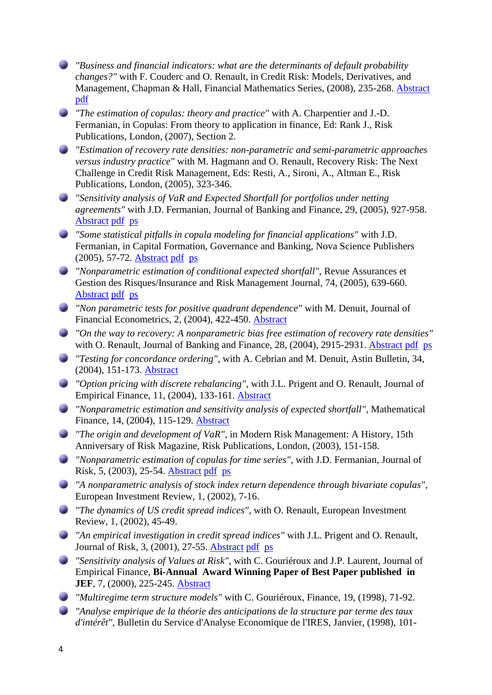- *"Business and financial indicators: what are the determinants of default probability changes?"* with F. Couderc and O. Renault, in Credit Risk: Models, Derivatives, and Management, Chapman & Hall, Financial Mathematics Series, (2008), 235-268. [Abstract](http://www.hec.unige.ch:8080/scaillet/abstracts/Ab_BusinessDeterminants.htm) [pdf](http://www.hec.unige.ch:8080/scaillet/pdfs/BusinessDeterminants.pdf)
- *"The estimation of copulas: theory and practice"* with A. Charpentier and J.-D. Fermanian, in Copulas: From theory to application in finance, Ed: Rank J., Risk Publications, London, (2007), Section 2.
- *"Estimation of recovery rate densities: non-parametric and semi-parametric approaches versus industry practice"* with M. Hagmann and O. Renault, Recovery Risk: The Next Challenge in Credit Risk Management, Eds: Resti, A., Sironi, A., Altman E., Risk Publications, London, (2005), 323-346.
- *"Sensitivity analysis of VaR and Expected Shortfall for portfolios under netting agreements"* with J.D. Fermanian, Journal of Banking and Finance, 29, (2005), 927-958. [Abstract](http://www.hec.unige.ch:8080/scaillet/abstracts/Absensinet.htm) [pdf](http://www.hec.unige.ch:8080/scaillet/pdfs/sensinet.pdf) [ps](http://www.hec.unige.ch:8080/scaillet/ps/sensinet.ps)
- *"Some statistical pitfalls in copula modeling for financial applications"* with J.D. Fermanian, in Capital Formation, Governance and Banking, Nova Science Publishers (2005), 57-72. [Abstract](http://www.hec.unige.ch:8080/scaillet/abstracts/Abpitfalls.htm) [pdf](http://www.hec.unige.ch:8080/scaillet/pdfs/pitfalls.pdf) [ps](http://www.hec.unige.ch:8080/scaillet/ps/pitfalls.ps)
- *"Nonparametric estimation of conditional expected shortfall",* Revue Assurances et Gestion des Risques/Insurance and Risk Management Journal, 74, (2005), 639-660. [Abstract](http://www.hec.unige.ch:8080/scaillet/abstracts/abcondes.htm) [pdf](http://www.hec.unige.ch:8080/scaillet/pdfs/condes.pdf) [ps](http://www.hec.unige.ch:8080/scaillet/ps/condes.ps)
- *"Non parametric tests for positive quadrant dependence"* with M. Denuit, Journal of Financial Econometrics, 2, (2004), 422-450. [Abstract](http://www.hec.unige.ch:8080/scaillet/abstracts/abineq.htm)
- *"On the way to recovery: A nonparametric bias free estimation of recovery rate densities"* with O. Renault, Journal of Banking and Finance, 28, (2004), 2915-2931. [Abstract](http://www.hec.unige.ch:8080/scaillet/abstracts/Abrecov.htm) [pdf](http://www.hec.unige.ch:8080/scaillet/pdfs/recov.pdf) [ps](http://www.hec.unige.ch:8080/scaillet/ps/recov.ps)
- *"Testing for concordance ordering"*, with A. Cebrian and M. Denuit, Astin Bulletin, 34, (2004), 151-173. [Abstract](http://www.hec.unige.ch:8080/scaillet/abstracts/AbCebDenScaCONC.htm)
- *"Option pricing with discrete rebalancing"*, with J.L. Prigent and O. Renault, Journal of Empirical Finance, 11, (2004), 133-161. [Abstract](http://www.hec.unige.ch:8080/scaillet/abstracts/Abjef3.htm)
- *"Nonparametric estimation and sensitivity analysis of expected shortfall"*, Mathematical Finance, 14, (2004), 115-129. [Abstract](http://www.hec.unige.ch:8080/scaillet/abstracts/absh.htm)
- *"The origin and development of VaR"*, in Modern Risk Management: A History, 15th Anniversary of Risk Magazine, Risk Publications, London, (2003), 151-158.
- *"Nonparametric estimation of copulas for time series"*, with J.D. Fermanian, Journal of Risk, 5, (2003), 25-54. [Abstract](http://www.hec.unige.ch:8080/scaillet/abstracts/abcopula.htm) [pdf](http://www.hec.unige.ch:8080/scaillet/pdfs/copula.pdf) [ps](http://www.hec.unige.ch:8080/scaillet/ps/copula.ps)
- *"A nonparametric analysis of stock index return dependence through bivariate copulas"*, European Investment Review, 1, (2002), 7-16.
- *"The dynamics of US credit spread indices"*, with O. Renault, European Investment Review, 1, (2002), 45-49.
- *"An empirical investigation in credit spread indices"* with J.L. Prigent and O. Renault, Journal of Risk, 3, (2001), 27-55. [Abstract](http://www.hec.unige.ch:8080/scaillet/abstracts/Abjum.htm) [pdf](http://www.hec.unige.ch:8080/scaillet/pdfs/jmpspd.pdf) [ps](http://www.hec.unige.ch:8080/scaillet/ps/jmpspd.ps)
- *"Sensitivity analysis of Values at Risk"*, with C. Gouriéroux and J.P. Laurent, Journal of Empirical Finance, **Bi-Annual Award Winning Paper of Best Paper published in JEF, 7, (2000), 225-245. [Abstract](http://www.hec.unige.ch:8080/scaillet/abstracts/Abjef2.htm)**
- *"Multiregime term structure models"* with C. Gouriéroux, Finance, 19, (1998), 71-92.
- *"Analyse empirique de la théorie des anticipations de la structure par terme des taux d'intérêt"*, Bulletin du Service d'Analyse Economique de l'IRES, Janvier, (1998), 101-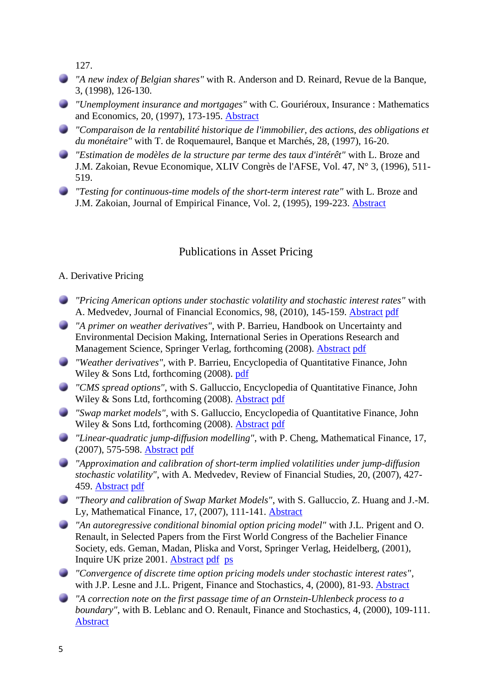127.

- *"A new index of Belgian shares"* with R. Anderson and D. Reinard, Revue de la Banque, 3, (1998), 126-130.
- *"Unemployment insurance and mortgages"* with C. Gouriéroux, Insurance : Mathematics and Economics, 20, (1997), 173-195. [Abstract](http://www.hec.unige.ch:8080/scaillet/abstracts/Abime.htm)
- *"Comparaison de la rentabilité historique de l'immobilier, des actions, des obligations et du monétaire"* with T. de Roquemaurel, Banque et Marchés, 28, (1997), 16-20.
- *"Estimation de modèles de la structure par terme des taux d'intérêt"* with L. Broze and J.M. Zakoian, Revue Economique, XLIV Congrès de l'AFSE, Vol. 47, N° 3, (1996), 511- 519.
- *"Testing for continuous-time models of the short-term interest rate"* with L. Broze and J.M. Zakoian, Journal of Empirical Finance, Vol. 2, (1995), 199-223. [Abstract](http://www.hec.unige.ch:8080/scaillet/abstracts/Abjef.htm)

### Publications in Asset Pricing

### A. Derivative Pricing

- *"Pricing American options under stochastic volatility and stochastic interest rates"* with A. Medvedev, Journal of Financial Economics, 98, (2010), 145-159. [Abstract](http://www.hec.unige.ch:8080/scaillet/abstracts/Abaput.htm) [pdf](http://www.hec.unige.ch:8080/scaillet/pdfs/aput.pdf)
- *"A primer on weather derivatives"*, with P. Barrieu, Handbook on Uncertainty and Environmental Decision Making, International Series in Operations Research and Management Science, Springer Verlag, forthcoming (2008). [Abstract](http://www.hec.unige.ch:8080/scaillet/abstracts/Abweather.htm) [pdf](http://www.hec.unige.ch:8080/scaillet/pdfs/weather.pdf)
- *"Weather derivatives"*, with P. Barrieu, Encyclopedia of Quantitative Finance, John Wiley & Sons Ltd, forthcoming (2008). [pdf](http://www.hec.unige.ch:8080/scaillet/pdfs/EQF_Weather.pdf)
- *"CMS spread options"*, with S. Galluccio, Encyclopedia of Quantitative Finance, John Wiley & Sons Ltd, forthcoming (2008). [Abstract](http://www.hec.unige.ch:8080/scaillet/abstracts/abeqf_cmsspreads.htm) [pdf](http://www.hec.unige.ch:8080/scaillet/pdfs/EQF_CMSspreads.pdf)
- *"Swap market models"*, with S. Galluccio, Encyclopedia of Quantitative Finance, John Wiley & Sons Ltd, forthcoming (2008). [Abstract](http://www.hec.unige.ch:8080/scaillet/abstracts/abeqf_smm.htm) [pdf](http://www.hec.unige.ch:8080/scaillet/pdfs/EQF_SMM.pdf)
- *"Linear-quadratic jump-diffusion modelling"*, with P. Cheng, Mathematical Finance, 17, (2007), 575-598. [Abstract](http://www.hec.unige.ch:8080/scaillet/abstracts/Absv.htm) [pdf](http://www.hec.unige.ch:8080/scaillet/pdfs/sv.pdf)
- *"Approximation and calibration of short-term implied volatilities under jump-diffusion stochastic volatility"*, with A. Medvedev, Review of Financial Studies, 20, (2007), 427- 459. [Abstract](http://www.hec.unige.ch:8080/scaillet/abstracts/Abasymptotics.htm) [pdf](http://www.hec.unige.ch:8080/scaillet/pdfs/asymptotics.pdf)
- *"Theory and calibration of Swap Market Models"*, with S. Galluccio, Z. Huang and J.-M. Ly, Mathematical Finance, 17, (2007), 111-141. [Abstract](http://www.hec.unige.ch:8080/scaillet/abstracts/Absmm.htm)
- *"An autoregressive conditional binomial option pricing model"* with J.L. Prigent and O. Renault, in Selected Papers from the First World Congress of the Bachelier Finance Society, eds. Geman, Madan, Pliska and Vorst, Springer Verlag, Heidelberg, (2001), Inquire UK prize 2001. [Abstract](http://www.hec.unige.ch:8080/scaillet/abstracts/Abacb.htm) [pdf](http://www.hec.unige.ch:8080/scaillet/pdfs/ACB.PDF) [ps](http://www.hec.unige.ch:8080/scaillet/ps/ACB.PS)
- *"Convergence of discrete time option pricing models under stochastic interest rates"*, with J.P. Lesne and J.L. Prigent, Finance and Stochastics, 4, (2000), 81-93. [Abstract](http://www.hec.unige.ch:8080/scaillet/abstracts/Abfs2.htm)
- *"A correction note on the first passage time of an Ornstein-Uhlenbeck process to a boundary"*, with B. Leblanc and O. Renault, Finance and Stochastics, 4, (2000), 109-111. [Abstract](http://www.hec.unige.ch:8080/scaillet/abstracts/Abfs3.htm)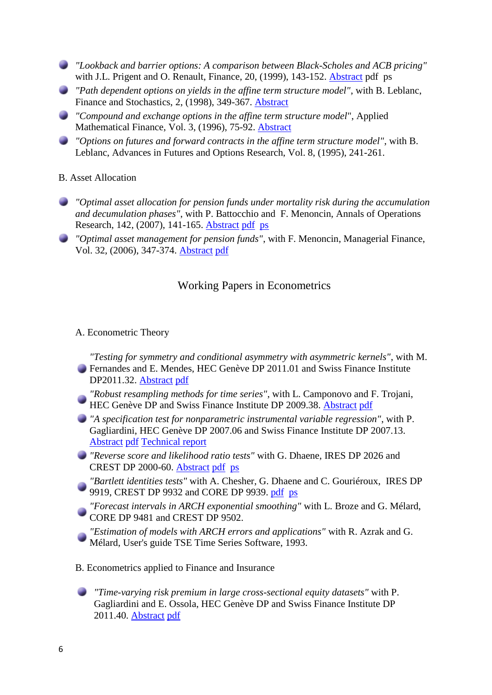- *"Lookback and barrier options: A comparison between Black-Scholes and ACB pricing"* with J.L. Prigent and O. Renault, Finance, 20, (1999), 143-152. [Abstract](http://www.hec.unige.ch:8080/scaillet/abstracts/Abfin2.htm) pdf ps
- *"Path dependent options on yields in the affine term structure model"*, with B. Leblanc, Finance and Stochastics, 2, (1998), 349-367. [Abstract](http://www.hec.unige.ch:8080/scaillet/abstracts/Abfs.htm)
- *"Compound and exchange options in the affine term structure model*", Applied Mathematical Finance, Vol. 3, (1996), 75-92. [Abstract](http://www.hec.unige.ch:8080/scaillet/abstracts/Abamf.htm)
- *"Options on futures and forward contracts in the affine term structure model"*, with B. Leblanc, Advances in Futures and Options Research, Vol. 8, (1995), 241-261.

B. Asset Allocation

- *"Optimal asset allocation for pension funds under mortality risk during the accumulation and decumulation phases"*, with P. Battocchio and F. Menoncin, Annals of Operations Research, 142, (2007), 141-165. [Abstract](http://www.hec.unige.ch:8080/scaillet/abstracts/Abmort.htm) [pdf](http://www.hec.unige.ch:8080/scaillet/pdfs/mortrev.pdf) [ps](http://www.hec.unige.ch:8080/scaillet/ps/mortrev.ps)
- *"Optimal asset management for pension funds"*, with F. Menoncin, Managerial Finance, Vol. 32, (2006), 347-374. [Abstract](http://www.hec.unige.ch:8080/scaillet/abstracts/AbManaFin.htm) [pdf](http://www.hec.unige.ch:8080/scaillet/pdfs/ManaFin.pdf)

# Working Papers in Econometrics

### A. Econometric Theory

*"Testing for symmetry and conditional asymmetry with asymmetric kernels"*, with M. Fernandes and E. Mendes, HEC Genève DP 2011.01 and Swiss Finance Institute DP2011.32. [Abstract](http://www.hec.unige.ch:8080/scaillet/abstracts/AbSymmetry.htm) [pdf](http://www.hec.unige.ch:8080/scaillet/pdfs/Symmetry.pdf)

- *"Robust resampling methods for time series"*, with L. Camponovo and F. Trojani, HEC Genève DP and Swiss Finance Institute DP 2009.38. [Abstract](http://www.hec.unige.ch:8080/scaillet/abstracts/AbRobustTS.htm) [pdf](http://www.hec.unige.ch:8080/scaillet/pdfs/RobustTS.pdf)
- *"A specification test for nonparametric instrumental variable regression"*, with P. Gagliardini, HEC Genève DP 2007.06 and Swiss Finance Institute DP 2007.13. [Abstract](http://www.hec.unige.ch:8080/scaillet/abstracts/Abjtest.htm) [pdf](http://www.hec.unige.ch:8080/scaillet/pdfs/jtest.pdf) [Technical report](http://www.hec.unige.ch:8080/scaillet/pdfs/jtx-tr.pdf)
- *"Reverse score and likelihood ratio tests"* with G. Dhaene, IRES DP 2026 and CREST DP 2000-60. [Abstract](http://www.hec.unige.ch:8080/scaillet/abstracts/revdp.htm) [pdf](http://www.hec.unige.ch:8080/scaillet/pdfs/revdp.pdf) [ps](http://www.hec.unige.ch:8080/scaillet/ps/revdp.ps)
- *"Bartlett identities tests"* with A. Chesher, G. Dhaene and C. Gouriéroux, IRES DP 9919, CREST DP 9932 and CORE DP 9939. [pdf](http://www.hec.unige.ch:8080/scaillet/pdfs/bi.pdf) [ps](http://www.hec.unige.ch:8080/scaillet/ps/BI.ps)
- *"Forecast intervals in ARCH exponential smoothing"* with L. Broze and G. Mélard, CORE DP 9481 and CREST DP 9502.

*"Estimation of models with ARCH errors and applications"* with R. Azrak and G. Mélard, User's guide TSE Time Series Software, 1993.

B. Econometrics applied to Finance and Insurance

*"Time-varying risk premium in large cross-sectional equity datasets"* with P. Gagliardini and E. Ossola, HEC Genève DP and Swiss Finance Institute DP 2011.40. [Abstract](http://www.hec.unige.ch:8080/scaillet/abstracts/Ab_2pass.htm) [pdf](http://www.hec.unige.ch:8080/scaillet/pdfs/2pass.pdf)